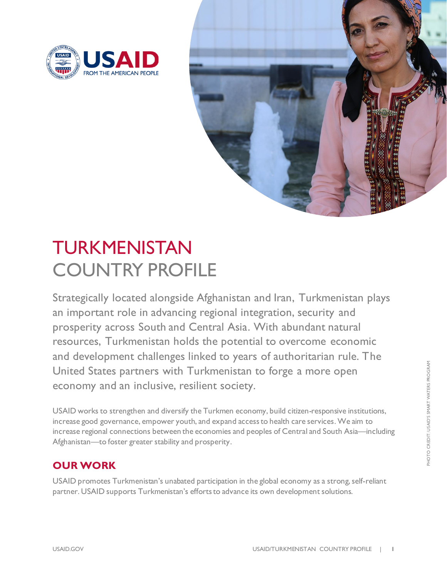



# TURKMENISTAN COUNTRY PROFILE

Strategically located alongside Afghanistan and Iran, Turkmenistan plays an important role in advancing regional integration, security and prosperity across South and Central Asia. With abundant natural resources, Turkmenistan holds the potential to overcome economic and development challenges linked to years of authoritarian rule. The United States partners with Turkmenistan to forge a more open economy and an inclusive, resilient society.

USAID works to strengthen and diversify the Turkmen economy, build citizen-responsive institutions, increase good governance, empower youth, and expand access to health care services. We aim to increase regional connections between the economies and peoples of Central and South Asia—including Afghanistan—to foster greater stability and prosperity.

# **OUR WORK**

USAID promotes Turkmenistan's unabated participation in the global economy as a strong, self-reliant partner. USAID supports Turkmenistan's efforts to advance its own development solutions.